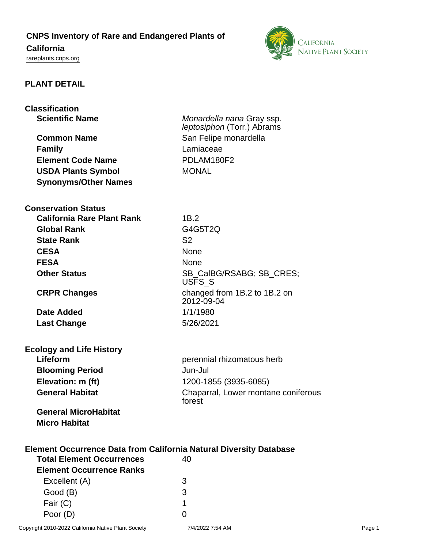# **CNPS Inventory of Rare and Endangered Plants of**

# **California**

<rareplants.cnps.org>



#### **PLANT DETAIL**

| Classification         |  |  |
|------------------------|--|--|
| <b>Scientific Name</b> |  |  |

**Common Name** San Felipe monardella **Family** Lamiaceae **Element Code Name** PDLAM180F2 **USDA Plants Symbol** MONAL **Synonyms/Other Names**

Monardella nana Gray ssp. leptosiphon (Torr.) Abrams

**Conservation Status**

| <b>California Rare Plant Rank</b> | 1B.2           |
|-----------------------------------|----------------|
| <b>Global Rank</b>                | G4G5           |
| <b>State Rank</b>                 | S <sub>2</sub> |
| <b>CESA</b>                       | <b>None</b>    |
| <b>FESA</b>                       | None           |
| <b>Other Status</b>               | SB C           |

**Date Added** 1/1/1980 **Last Change** 5/26/2021

# **Ecology and Life History**

**Blooming Period** Jun-Jul

**Global Rank** G4G5T2Q **CESA** None SB\_CalBG/RSABG; SB\_CRES; USFS\_S **CRPR Changes** changed from 1B.2 to 1B.2 on 2012-09-04

**Lifeform perennial rhizomatous herb perennial rhizomatous herb Elevation: m (ft)** 1200-1855 (3935-6085) **General Habitat** Chaparral, Lower montane coniferous forest

**General MicroHabitat Micro Habitat**

### **Element Occurrence Data from California Natural Diversity Database**

| <b>Total Element Occurrences</b> |   |  |
|----------------------------------|---|--|
| <b>Element Occurrence Ranks</b>  |   |  |
| Excellent (A)                    | 3 |  |
| Good (B)                         | 3 |  |
| Fair (C)                         |   |  |
| Poor (D)                         |   |  |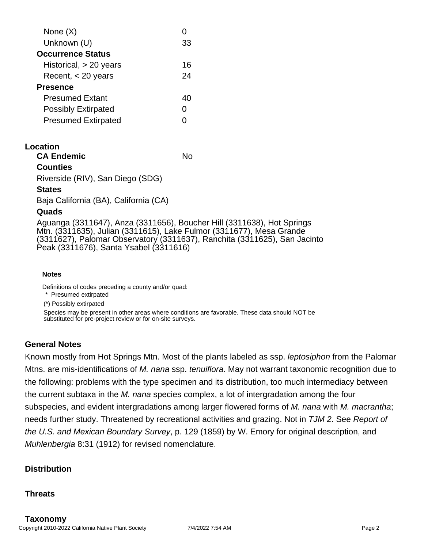| None $(X)$                 |    |
|----------------------------|----|
| Unknown (U)                | 33 |
| <b>Occurrence Status</b>   |    |
| Historical, $> 20$ years   | 16 |
| Recent, $<$ 20 years       | 24 |
| <b>Presence</b>            |    |
| <b>Presumed Extant</b>     | 40 |
| <b>Possibly Extirpated</b> | O  |
| <b>Presumed Extirpated</b> | ∩  |
|                            |    |

#### **Location**

**CA Endemic** No **Counties**

Riverside (RIV), San Diego (SDG)

#### **States**

Baja California (BA), California (CA)

#### **Quads**

Aguanga (3311647), Anza (3311656), Boucher Hill (3311638), Hot Springs Mtn. (3311635), Julian (3311615), Lake Fulmor (3311677), Mesa Grande (3311627), Palomar Observatory (3311637), Ranchita (3311625), San Jacinto Peak (3311676), Santa Ysabel (3311616)

#### **Notes**

Definitions of codes preceding a county and/or quad:

\* Presumed extirpated

(\*) Possibly extirpated

Species may be present in other areas where conditions are favorable. These data should NOT be substituted for pre-project review or for on-site surveys.

# **General Notes**

Known mostly from Hot Springs Mtn. Most of the plants labeled as ssp. leptosiphon from the Palomar Mtns. are mis-identifications of M. nana ssp. tenuiflora. May not warrant taxonomic recognition due to the following: problems with the type specimen and its distribution, too much intermediacy between the current subtaxa in the M. nana species complex, a lot of intergradation among the four subspecies, and evident intergradations among larger flowered forms of M. nana with M. macrantha; needs further study. Threatened by recreational activities and grazing. Not in TJM 2. See Report of the U.S. and Mexican Boundary Survey, p. 129 (1859) by W. Emory for original description, and Muhlenbergia 8:31 (1912) for revised nomenclature.

#### **Distribution**

#### **Threats**